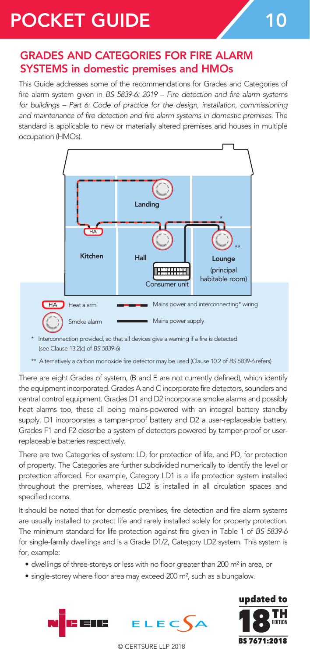## POCKET GUIDE 7 10

## GRADES AND CATEGORIES FOR FIRE ALARM SYSTEMS in domestic premises and HMOs

This Guide addresses some of the recommendations for Grades and Categories of fire alarm system given in *BS 5839-6: 2019 – Fire detection and fire alarm systems*  for buildings – Part 6: Code of practice for the design, installation, commissioning *and maintenance of fire detection and fire alarm systems in domestic premises.* The standard is applicable to new or materially altered premises and houses in multiple occupation (HMOs).



(see Clause 13.2(c) of *BS 5839-6*) \* Interconnection provided, so that all devices give a warning if a fire is detected

\*\* Alternatively a carbon monoxide fire detector may be used (Clause 10.2 of *BS 5839-6* refers)

There are eight Grades of system, (B and E are not currently defined), which identify the equipment incorporated. Grades A and C incorporate fire detectors, sounders and central control equipment. Grades D1 and D2 incorporate smoke alarms and possibly heat alarms too, these all being mains-powered with an integral battery standby supply. D1 incorporates a tamper-proof battery and D2 a user-replaceable battery. Grades F1 and F2 describe a system of detectors powered by tamper-proof or userreplaceable batteries respectively.

There are two Categories of system: LD, for protection of life, and PD, for protection of property. The Categories are further subdivided numerically to identify the level or protection afforded. For example, Category LD1 is a life protection system installed throughout the premises, whereas LD2 is installed in all circulation spaces and specified rooms.

> It should be noted that for domestic premises, fire detection and fire alarm systems are usually installed to protect life and rarely installed solely for property protection. The minimum standard for life protection against fire given in Table 1 of *BS 5839-6*  for single-family dwellings and is a Grade D1/2, Category LD2 system. This system is for, example:

- dwellings of three-storeys or less with no floor greater than 200 m² in area, or
- single-storey where floor area may exceed 200 m², such as a bungalow.





© CERTSURE LLP 2018